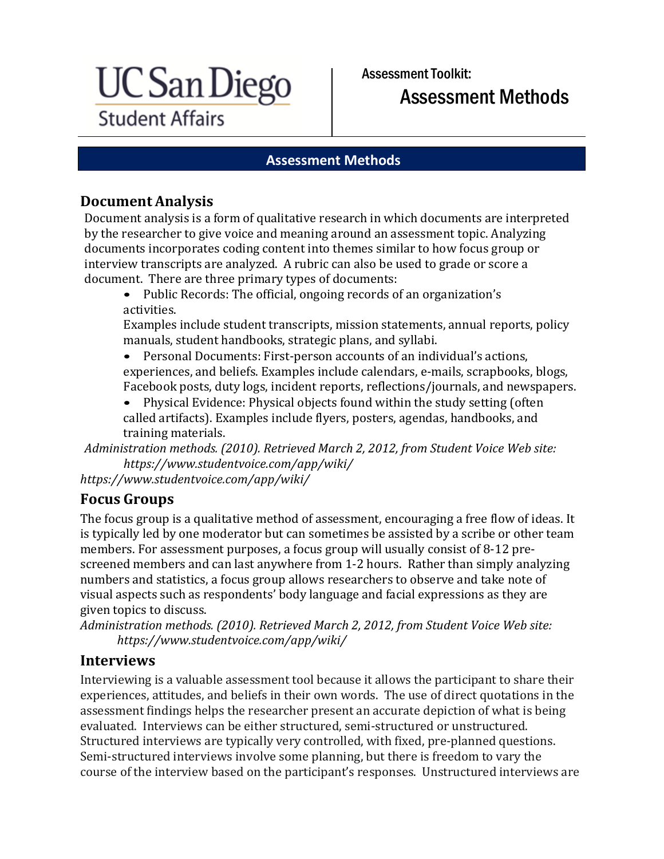

Assessment Toolkit: Assessment Methods

#### **Assessment Methods**

#### **Document Analysis**

Document analysis is a form of qualitative research in which documents are interpreted by the researcher to give voice and meaning around an assessment topic. Analyzing documents incorporates coding content into themes similar to how focus group or interview transcripts are analyzed. A rubric can also be used to grade or score a document. There are three primary types of documents:

• Public Records: The official, ongoing records of an organization's activities.

Examples include student transcripts, mission statements, annual reports, policy manuals, student handbooks, strategic plans, and syllabi.

• Personal Documents: First-person accounts of an individual's actions, experiences, and beliefs. Examples include calendars, e-mails, scrapbooks, blogs, Facebook posts, duty logs, incident reports, reflections/journals, and newspapers.

• Physical Evidence: Physical objects found within the study setting (often called artifacts). Examples include flyers, posters, agendas, handbooks, and training materials.

*Administration methods. (2010). Retrieved March 2, 2012, from Student Voice Web site: [https://www.studentvoice.com/app/wiki/](http://www.studentvoice.com/app/wiki/)*

*https://www.studentvoice.com/app/wiki/*

#### **Focus Groups**

The focus group is a qualitative method of assessment, encouraging a free flow of ideas. It is typically led by one moderator but can sometimes be assisted by a scribe or other team members. For assessment purposes, a focus group will usually consist of 8-12 prescreened members and can last anywhere from 1-2 hours. Rather than simply analyzing numbers and statistics, a focus group allows researchers to observe and take note of visual aspects such as respondents' body language and facial expressions as they are given topics to discuss.

*Administration methods. (2010). Retrieved March 2, 2012, from Student Voice Web site: [https://www.studentvoice.com/app/wiki/](http://www.studentvoice.com/app/wiki/)*

#### **Interviews**

Interviewing is a valuable assessment tool because it allows the participant to share their experiences, attitudes, and beliefs in their own words. The use of direct quotations in the assessment findings helps the researcher present an accurate depiction of what is being evaluated. Interviews can be either structured, semi-structured or unstructured. Structured interviews are typically very controlled, with fixed, pre-planned questions. Semi-structured interviews involve some planning, but there is freedom to vary the course of the interview based on the participant's responses. Unstructured interviews are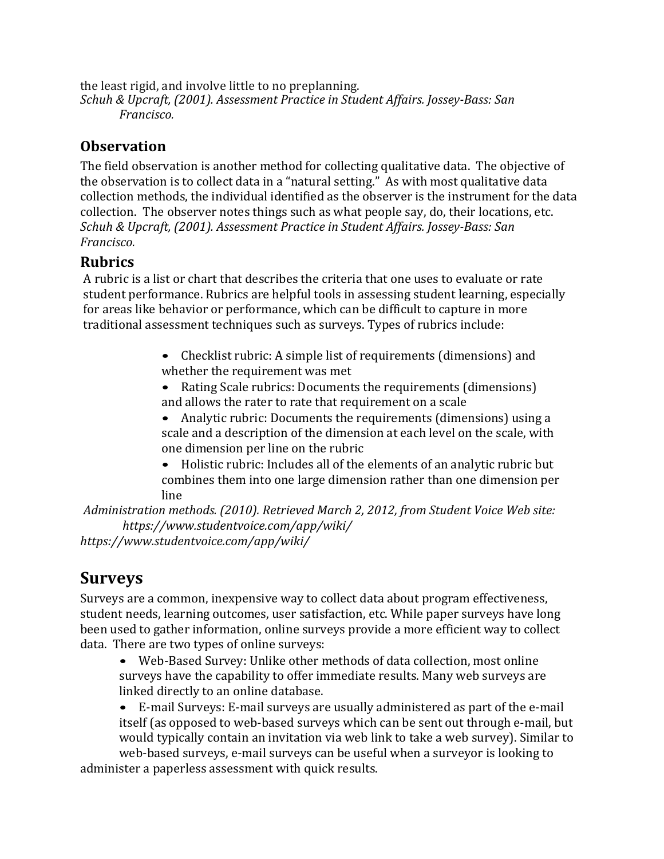the least rigid, and involve little to no preplanning. *Schuh & Upcraft, (2001). Assessment Practice in Student Affairs. Jossey-Bass: San Francisco.*

#### **Observation**

The field observation is another method for collecting qualitative data. The objective of the observation is to collect data in a "natural setting." As with most qualitative data collection methods, the individual identified as the observer is the instrument for the data collection. The observer notes things such as what people say, do, their locations, etc. *Schuh & Upcraft, (2001). Assessment Practice in Student Affairs. Jossey-Bass: San Francisco.*

#### **Rubrics**

A rubric is a list or chart that describes the criteria that one uses to evaluate or rate student performance. Rubrics are helpful tools in assessing student learning, especially for areas like behavior or performance, which can be difficult to capture in more traditional assessment techniques such as surveys. Types of rubrics include:

- Checklist rubric: A simple list of requirements (dimensions) and whether the requirement was met
- Rating Scale rubrics: Documents the requirements (dimensions) and allows the rater to rate that requirement on a scale
- Analytic rubric: Documents the requirements (dimensions) using a scale and a description of the dimension at each level on the scale, with one dimension per line on the rubric

• Holistic rubric: Includes all of the elements of an analytic rubric but combines them into one large dimension rather than one dimension per line

*Administration methods. (2010). Retrieved March 2, 2012, from Student Voice Web site: [https://www.studentvoice.com/app/wiki/](http://www.studentvoice.com/app/wiki/)*

*https://www.studentvoice.com/app/wiki/*

# **Surveys**

Surveys are a common, inexpensive way to collect data about program effectiveness, student needs, learning outcomes, user satisfaction, etc. While paper surveys have long been used to gather information, online surveys provide a more efficient way to collect data. There are two types of online surveys:

• Web-Based Survey: Unlike other methods of data collection, most online surveys have the capability to offer immediate results. Many web surveys are linked directly to an online database.

• E-mail Surveys: E-mail surveys are usually administered as part of the e-mail itself (as opposed to web-based surveys which can be sent out through e-mail, but would typically contain an invitation via web link to take a web survey). Similar to web-based surveys, e-mail surveys can be useful when a surveyor is looking to

administer a paperless assessment with quick results.